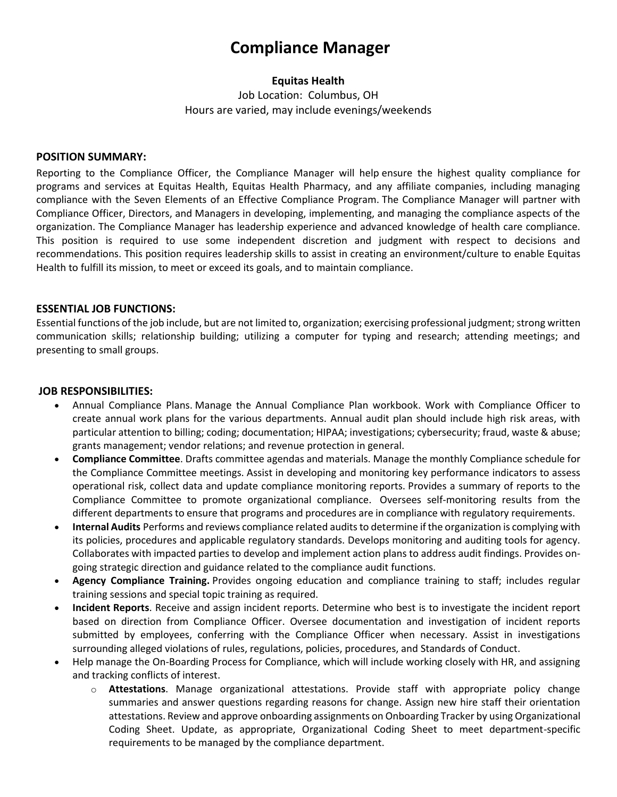# **Compliance Manager**

## **Equitas Health**

Job Location: Columbus, OH Hours are varied, may include evenings/weekends

#### **POSITION SUMMARY:**

Reporting to the Compliance Officer, the Compliance Manager will help ensure the highest quality compliance for programs and services at Equitas Health, Equitas Health Pharmacy, and any affiliate companies, including managing compliance with the Seven Elements of an Effective Compliance Program. The Compliance Manager will partner with Compliance Officer, Directors, and Managers in developing, implementing, and managing the compliance aspects of the organization. The Compliance Manager has leadership experience and advanced knowledge of health care compliance. This position is required to use some independent discretion and judgment with respect to decisions and recommendations. This position requires leadership skills to assist in creating an environment/culture to enable Equitas Health to fulfill its mission, to meet or exceed its goals, and to maintain compliance.

#### **ESSENTIAL JOB FUNCTIONS:**

Essential functions of the job include, but are not limited to, organization; exercising professional judgment; strong written communication skills; relationship building; utilizing a computer for typing and research; attending meetings; and presenting to small groups.

#### **JOB RESPONSIBILITIES:**

- Annual Compliance Plans. Manage the Annual Compliance Plan workbook. Work with Compliance Officer to create annual work plans for the various departments. Annual audit plan should include high risk areas, with particular attention to billing; coding; documentation; HIPAA; investigations; cybersecurity; fraud, waste & abuse; grants management; vendor relations; and revenue protection in general.
- **Compliance Committee**. Drafts committee agendas and materials. Manage the monthly Compliance schedule for the Compliance Committee meetings. Assist in developing and monitoring key performance indicators to assess operational risk, collect data and update compliance monitoring reports. Provides a summary of reports to the Compliance Committee to promote organizational compliance. Oversees self-monitoring results from the different departments to ensure that programs and procedures are in compliance with regulatory requirements.
- **Internal Audits** Performs and reviews compliance related audits to determine if the organization is complying with its policies, procedures and applicable regulatory standards. Develops monitoring and auditing tools for agency. Collaborates with impacted parties to develop and implement action plans to address audit findings. Provides ongoing strategic direction and guidance related to the compliance audit functions.
- **Agency Compliance Training.** Provides ongoing education and compliance training to staff; includes regular training sessions and special topic training as required.
- **Incident Reports**. Receive and assign incident reports. Determine who best is to investigate the incident report based on direction from Compliance Officer. Oversee documentation and investigation of incident reports submitted by employees, conferring with the Compliance Officer when necessary. Assist in investigations surrounding alleged violations of rules, regulations, policies, procedures, and Standards of Conduct.
- Help manage the On-Boarding Process for Compliance, which will include working closely with HR, and assigning and tracking conflicts of interest.
	- o **Attestations**. Manage organizational attestations. Provide staff with appropriate policy change summaries and answer questions regarding reasons for change. Assign new hire staff their orientation attestations. Review and approve onboarding assignments on Onboarding Tracker by using Organizational Coding Sheet. Update, as appropriate, Organizational Coding Sheet to meet department-specific requirements to be managed by the compliance department.